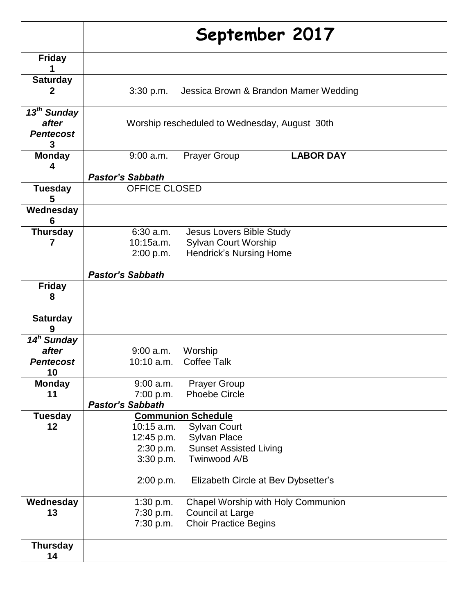|                                                           | September 2017          |                                               |  |
|-----------------------------------------------------------|-------------------------|-----------------------------------------------|--|
| <b>Friday</b>                                             |                         |                                               |  |
| <b>Saturday</b><br>2                                      | 3:30 p.m.               | Jessica Brown & Brandon Mamer Wedding         |  |
| 13 <sup>th</sup> Sunday<br>after<br><b>Pentecost</b><br>3 |                         | Worship rescheduled to Wednesday, August 30th |  |
| <b>Monday</b><br>4                                        | $9:00$ a.m.             | <b>LABOR DAY</b><br><b>Prayer Group</b>       |  |
|                                                           | <b>Pastor's Sabbath</b> |                                               |  |
| <b>Tuesday</b><br>5                                       | <b>OFFICE CLOSED</b>    |                                               |  |
| Wednesday<br>6                                            |                         |                                               |  |
| <b>Thursday</b>                                           | $6:30$ a.m.             | <b>Jesus Lovers Bible Study</b>               |  |
| 7                                                         | 10:15a.m.               | <b>Sylvan Court Worship</b>                   |  |
|                                                           | 2:00 p.m.               | <b>Hendrick's Nursing Home</b>                |  |
|                                                           | <b>Pastor's Sabbath</b> |                                               |  |
| <b>Friday</b><br>8                                        |                         |                                               |  |
| <b>Saturday</b><br>9                                      |                         |                                               |  |
| 14 <sup>h</sup> Sunday                                    |                         |                                               |  |
| after                                                     | $9:00$ a.m.             | Worship                                       |  |
| <b>Pentecost</b><br>10                                    | $10:10$ a.m.            | <b>Coffee Talk</b>                            |  |
| <b>Monday</b>                                             | $9:00$ a.m.             | <b>Prayer Group</b>                           |  |
| 11                                                        | 7:00 p.m.               | <b>Phoebe Circle</b>                          |  |
|                                                           | <b>Pastor's Sabbath</b> |                                               |  |
| <b>Tuesday</b>                                            |                         | <b>Communion Schedule</b>                     |  |
| 12                                                        | $10:15$ a.m.            | <b>Sylvan Court</b>                           |  |
|                                                           | 12:45 p.m.              | Sylvan Place                                  |  |
|                                                           | 2:30 p.m.               | <b>Sunset Assisted Living</b>                 |  |
|                                                           | 3:30 p.m.               | Twinwood A/B                                  |  |
|                                                           | 2:00 p.m.               | Elizabeth Circle at Bev Dybsetter's           |  |
| Wednesday                                                 | 1:30 p.m.               | Chapel Worship with Holy Communion            |  |
| 13                                                        | 7:30 p.m.               | Council at Large                              |  |
|                                                           | 7:30 p.m.               | <b>Choir Practice Begins</b>                  |  |
| <b>Thursday</b><br>14                                     |                         |                                               |  |